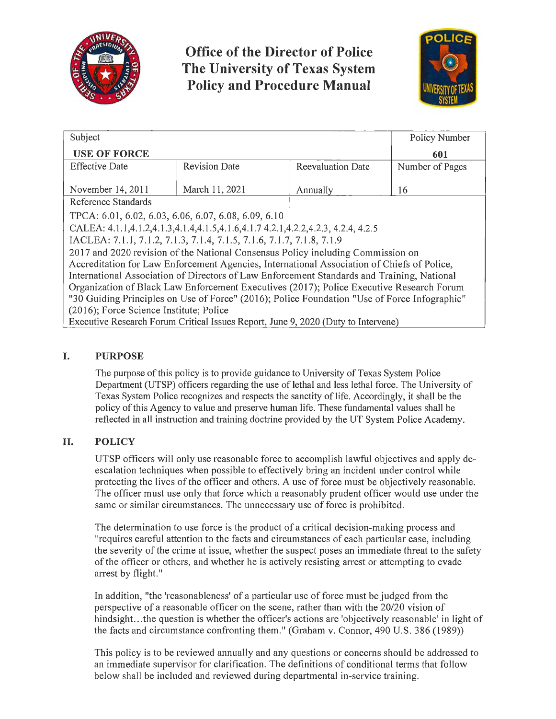

# **Office of the Director of Police The University of Texas System Policy and Procedure Manual**



| Subject                                                                                      |                      |                          | Policy Number   |
|----------------------------------------------------------------------------------------------|----------------------|--------------------------|-----------------|
| <b>USE OF FORCE</b>                                                                          |                      |                          | 601             |
| <b>Effective Date</b>                                                                        | <b>Revision Date</b> | <b>Reevaluation Date</b> | Number of Pages |
| November 14, 2011                                                                            | March 11, 2021       | Annually                 | 16              |
| Reference Standards                                                                          |                      |                          |                 |
| TPCA: 6.01, 6.02, 6.03, 6.06, 6.07, 6.08, 6.09, 6.10                                         |                      |                          |                 |
| CALEA: 4.1.1,4.1.2,4.1.3,4.1.4,4.1.5,4.1.6,4.1.7 4.2.1,4.2.2,4.2.3, 4.2.4, 4.2.5             |                      |                          |                 |
| IACLEA: 7.1.1, 7.1.2, 7.1.3, 7.1.4, 7.1.5, 7.1.6, 7.1.7, 7.1.8, 7.1.9                        |                      |                          |                 |
| 2017 and 2020 revision of the National Consensus Policy including Commission on              |                      |                          |                 |
| Accreditation for Law Enforcement Agencies, International Association of Chiefs of Police,   |                      |                          |                 |
| International Association of Directors of Law Enforcement Standards and Training, National   |                      |                          |                 |
| Organization of Black Law Enforcement Executives (2017); Police Executive Research Forum     |                      |                          |                 |
| "30 Guiding Principles on Use of Force" (2016); Police Foundation "Use of Force Infographic" |                      |                          |                 |
| (2016); Force Science Institute; Police                                                      |                      |                          |                 |
| Executive Research Forum Critical Issues Report, June 9, 2020 (Duty to Intervene)            |                      |                          |                 |

# **I. PURPOSE**

The purpose of this policy is to provide guidance to University of Texas System Police Department (UTSP) officers regarding the use of lethal and less lethal force. The University of Texas System Police recognizes and respects the sanctity of life. Accordingly, it shall be the policy of this Agency to value and preserve human life. These fundamental values shall be reflected in all instruction and training doctrine provided by the UT System Police Academy.

# **II. POLICY**

UTSP officers will only use reasonable force to accomplish lawful objectives and apply deescalation techniques when possible to effectively bring an incident under control while protecting the lives of the officer and others. A use of force must be objectively reasonable. The officer must use only that force which a reasonably prudent officer would use under the same or similar circumstances. The unnecessary use of force is prohibited.

The determination to use force is the product of a critical decision-making process and "requires careful attention to the facts and circumstances of each particular case, including the severity of the crime at issue, whether the suspect poses an immediate threat to the safety of the officer or others, and whether he is actively resisting arrest or attempting to evade arrest by flight."

In addition, "the 'reasonableness' of a particular use of force must be judged from the perspective of a reasonable officer on the scene, rather than with the 20/20 vision of hindsight. .. the question is whether the officer's actions are 'objectively reasonable' in light of the facts and circumstance confronting them." (Graham v. Connor, 490 U.S. 386 (1989))

This policy is to be reviewed annually and any questions or concerns should be addressed to an immediate supervisor for clarification. The definitions of conditional terms that follow below shall be included and reviewed during departmental in-service training.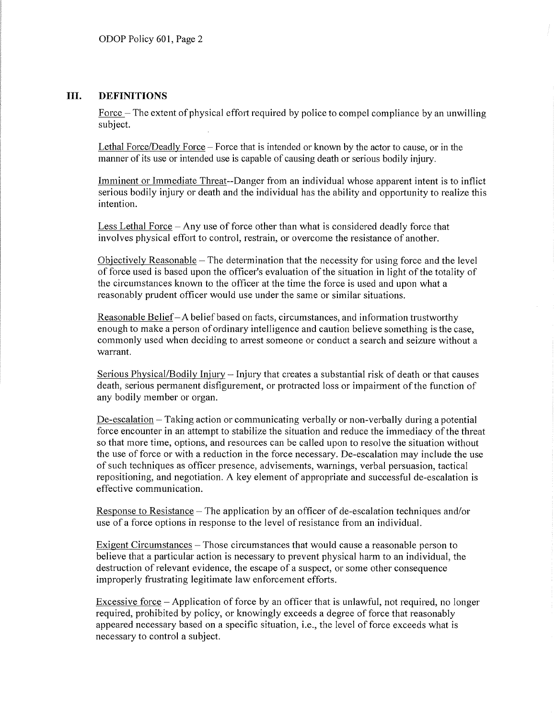## **III. DEFINITIONS**

Force  $-$  The extent of physical effort required by police to compel compliance by an unwilling subject.

Lethal Force/Deadly Force-Force that is intended or known by the actor to cause, or in the manner of its use or intended use is capable of causing death or serious bodily injury.

Imminent or Immediate Threat--Danger from an individual whose apparent intent is to inflict serious bodily injury or death and the individual has the ability and opportunity to realize this intention.

Less Lethal Force – Any use of force other than what is considered deadly force that involves physical effort to control, restrain, or overcome the resistance of another.

Objectively Reasonable  $-$  The determination that the necessity for using force and the level of force used is based upon the officer's evaluation of the situation in light of the totality of the circumstances known to the officer at the time the force is used and upon what a reasonably prudent officer would use under the same or similar situations.

Reasonable Belief - A belief based on facts, circumstances, and information trustworthy enough to make a person of ordinary intelligence and caution believe something is the case, commonly used when deciding to arrest someone or conduct a search and seizure without a warrant.

Serious Physical/Bodily Injury - Injury that creates a substantial risk of death or that causes death, serious permanent disfigurement, or protracted loss or impairment of the function of any bodily member or organ.

 $De-escalation - Taking action or communicating verbally or non-verbally during a potential$ force encounter in an attempt to stabilize the situation and reduce the immediacy of the threat so that more time, options, and resources can be called upon to resolve the situation without the use of force or with a reduction in the force necessary. De-escalation may include the use of such techniques as officer presence, advisements, warnings, verbal persuasion, tactical repositioning, and negotiation. A key element of appropriate and successful de-escalation is effective communication.

Response to Resistance – The application by an officer of de-escalation techniques and/or use of a force options in response to the level of resistance from an individual.

Exigent Circumstances – Those circumstances that would cause a reasonable person to believe that a particular action is necessary to prevent physical harm to an individual, the destruction of relevant evidence, the escape of a suspect, or some other consequence improperly frustrating legitimate law enforcement efforts.

Excessive force - Application of force by an officer that is unlawful, not required, no longer required, prohibited by policy, or knowingly exceeds a degree of force that reasonably appeared necessary based on a specific situation, i.e., the level of force exceeds what is necessary to control a subject.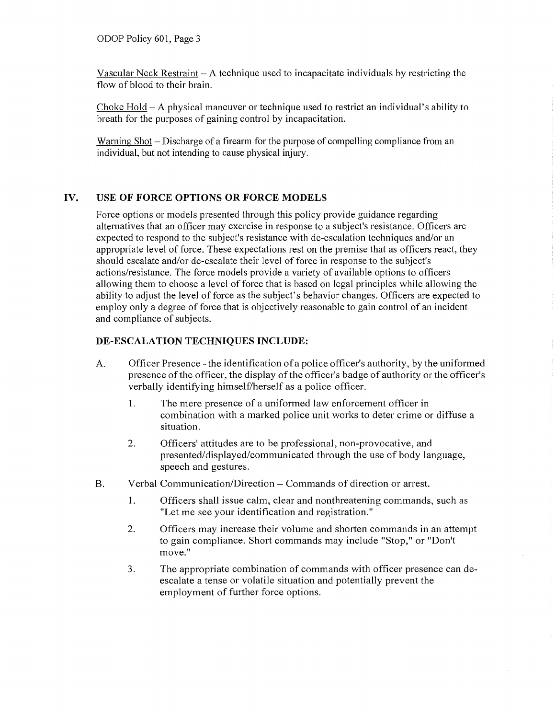Vascular Neck Restraint - A technique used to incapacitate individuals by restricting the flow of blood to their brain.

Choke  $H$ old  $-A$  physical maneuver or technique used to restrict an individual's ability to breath for the purposes of gaining control by incapacitation.

Warning Shot – Discharge of a firearm for the purpose of compelling compliance from an individual, but not intending to cause physical injury.

#### **IV. USE OF FORCE OPTIONS OR FORCE MODELS**

Force options or models presented through this policy provide guidance regarding alternatives that an officer may exercise in response to a subject's resistance. Officers are expected to respond to the subject's resistance with de-escalation techniques and/or an appropriate level of force. These expectations rest on the premise that as officers react, they should escalate and/or de-escalate their level of force in response to the subject's actions/resistance. The force models provide a variety of available options to officers allowing them to choose a level of force that is based on legal principles while allowing the ability to adjust the level of force as the subject's behavior changes. Officers are expected to employ only a degree of force that is objectively reasonable to gain control of an incident and compliance of subjects.

#### **DE-ESCALATION TECHNIQUES INCLUDE:**

- A. Officer Presence -the identification of a police officer's authority, by the uniformed presence of the officer, the display of the officer's badge of authority or the officer's verbally identifying himself/herself as a police officer.
	- I. The mere presence of a uniformed law enforcement officer in combination with a marked police unit works to deter crime or diffuse a situation.
	- 2. Officers' attitudes are to be professional, non-provocative, and presented/displayed/communicated through the use of body language, speech and gestures.
- B. Verbal Communication/Direction Commands of direction or arrest.
	- I. Officers shall issue calm, clear and nonthreatening commands, such as "Let me see your identification and registration."
	- 2. Officers may increase their volume and shorten commands in an attempt to gain compliance. Short commands may include "Stop," or "Don't move."
	- 3. The appropriate combination of commands with officer presence can deescalate a tense or volatile situation and potentially prevent the employment of further force options.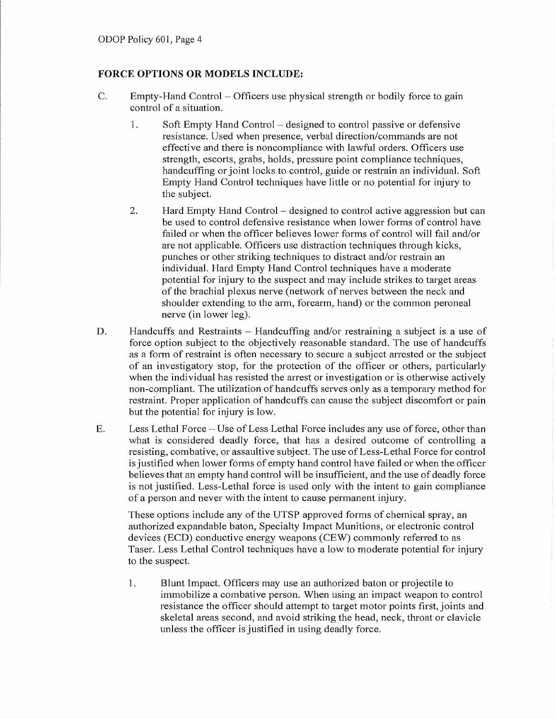## **FORCE OPTIONS OR MODELS INCLUDE:**

- C. Empty-Hand Control Officers use physical strength or bodily force to gain control of a situation.
	- 1. Soft Empty Hand Control designed to control passive or defensive resistance. Used when presence, verbal direction/commands are not effective and there is noncompliance with lawful orders. Officers use strength, escorts, grabs, holds, pressure point compliance techniques, handcuffing or joint locks to control, guide or restrain an individual. Soft Empty Hand Control techniques have little or no potential for injury to the subject.
	- 2. Hard Empty Hand Control designed to control active aggression but can be used to control defensive resistance when lower forms of control have failed or when the officer believes lower forms of control will fail and/or are not applicable. Officers use distraction techniques through kicks, punches or other striking techniques to distract and/or restrain an individual. Hard Empty Hand Control techniques have a moderate potential for injury to the suspect and may include strikes to target areas of the brachia! plexus nerve (network of nerves between the neck and shoulder extending to the arm, forearm, hand) or the common peroneal nerve (in lower leg).
- D. Handcuffs and Restraints Handcuffing and/or restraining a subject is a use of force option subject to the objectively reasonable standard. The use of handcuffs as a form of restraint is often necessary to secure a subject arrested or the subject of an investigatory stop, for the protection of the officer or others, particularly when the individual has resisted the arrest or investigation or is otherwise actively non-compliant. The utilization of handcuffs serves only as a temporary method for restraint. Proper application of handcuffs can cause the subject discomfort or pain but the potential for injury is low.
- E. Less Lethal Force Use of Less Lethal Force includes any use of force, other than what is considered deadly force, that has a desired outcome of controlling a resisting, combative, or assaultive subject. The use of Less-Lethal Force for control is justified when lower forms of empty hand control have failed or when the officer believes that an empty hand control will be insufficient, and the use of deadly force is not justified. Less-Lethal force is used only with the intent to gain compliance of a person and never with the intent to cause permanent injury.

These options include any of the UTSP approved forms of chemical spray, an authorized expandable baton, Specialty Impact Munitions, or electronic control devices (ECD) conductive energy weapons (CEW) commonly referred to as Taser. Less Lethal Control techniques have a low to moderate potential for injury to the suspect.

1. Blunt Impact. Officers may use an authorized baton or projectile to immobilize a combative person. When using an impact weapon to control resistance the officer should attempt to target motor points first, joints and skeletal areas second, and avoid striking the head, neck, throat or clavicle unless the officer is justified in using deadly force.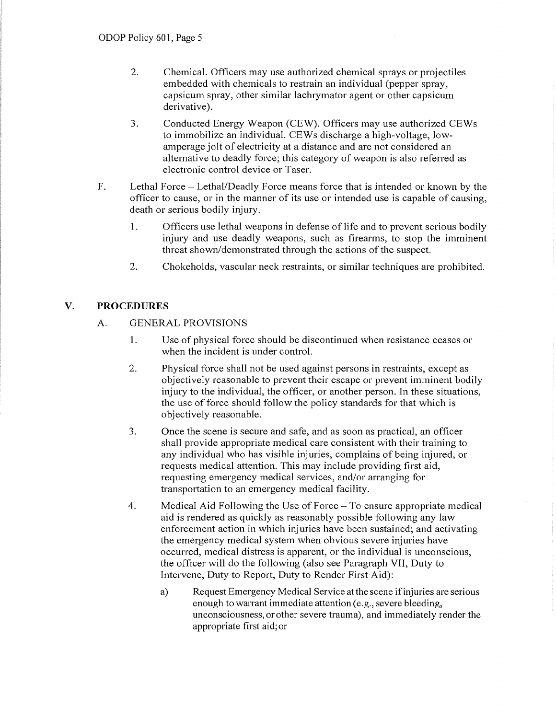- 2. Chemical. Officers may use authorized chemical sprays or projectiles embedded with chemicals to restrain an individual (pepper spray, capsicum spray, other similar lachrymator agent or other capsicum derivative).
- 3. Conducted Energy Weapon (CEW). Officers may use authorized CEWs to immobilize an individual. CEWs discharge a high-voltage, lowamperage jolt of electricity at a distance and are not considered an alternative to deadly force; this category of weapon is also referred as electronic control device or Taser.
- F. Lethal Force Lethal/Deadly Force means force that is intended or known by the officer to cause, or in the manner of its use or intended use is capable of causing, death or serious bodily injury.
	- 1. Officers use lethal weapons in defense of life and to prevent serious bodily injury and use deadly weapons, such as firearms, to stop the imminent threat shown/demonstrated through the actions of the suspect.
	- 2. Chokeholds, vascular neck restraints, or similar techniques are prohibited.

# **V. PROCEDURES**

# A. GENERAL PROVISIONS

- 1. Use of physical force should be discontinued when resistance ceases or when the incident is under control.
- 2. Physical force shall not be used against persons in restraints, except as objectively reasonable to prevent their escape or prevent imminent bodily injury to the individual, the officer, or another person. In these situations, the use of force should follow the policy standards for that which is objectively reasonable.
- 3. Once the scene is secure and safe, and as soon as practical, an officer shall provide appropriate medical care consistent with their training to any individual who has visible injuries, complains of being injured, or requests medical attention. This may include providing first aid, requesting emergency medical services, and/or arranging for transportation to an emergency medical facility.
- 4. Medical Aid Following the Use of Force To ensure appropriate medical aid is rendered as quickly as reasonably possible following any law enforcement action in which injuries have been sustained; and activating the emergency medical system when obvious severe injuries have occurred, medical distress is apparent, or the individual is unconscious, the officer will do the following (also see Paragraph VII, Duty to Intervene, Duty to Report, Duty to Render First Aid):
	- a) Request Emergency Medical Service atthe scene ifinjuries are serious enough to warrant immediate attention (e.g., severe bleeding, unconsciousness, or other severe trauma), and immediately render the appropriate first aid; or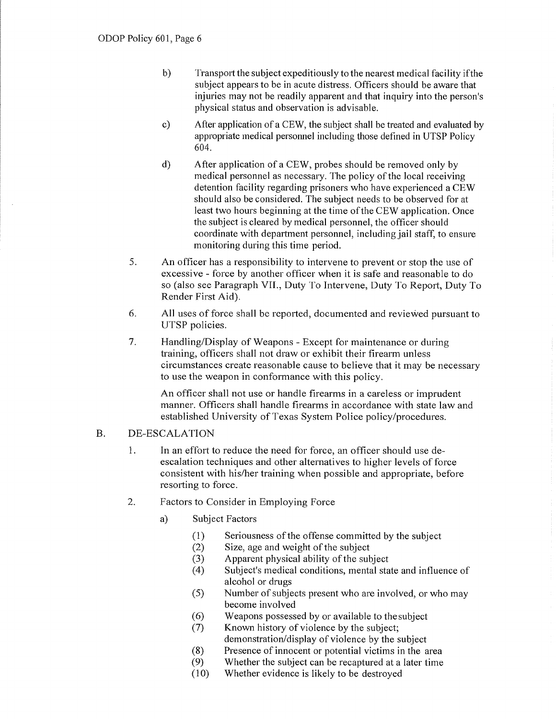- b) Transport the subject expeditiously to the nearest medical facility if the subject appears to be in acute distress. Officers should be aware that injuries may not be readily apparent and that inquiry into the person's physical status and observation is advisable.
- c) After application of a CEW, the subject shall be treated and evaluated by appropriate medical personnel including those defined in UTSP Policy 604.
- d) After application of a CEW, probes should be removed only by medical personnel as necessary. The policy of the local receiving detention facility regarding prisoners who have experienced a CEW should also be considered. The subject needs to be observed for at least two hours beginning at the time of the CEW application. Once the subject is cleared by medical personnel, the officer should coordinate with department personnel, including jail staff, to ensure monitoring during this time period.
- 5. An officer has a responsibility to intervene to prevent or stop the use of excessive - force by another officer when it is safe and reasonable to do so (also see Paragraph VII., Duty To Intervene, Duty To Repoti, Duty To Render First Aid).
- 6. All uses of force shall be reported, documented and reviewed pursuant to UTSP policies.
- 7. Handling/Display of Weapons Except for maintenance or during training, officers shall not draw or exhibit their firearm unless circumstances create reasonable cause to believe that it may be necessary to use the weapon in conformance with this policy.

An officer shall not use or handle firearms in a careless or imprudent manner. Officers shall handle firearms in accordance with state law and established University of Texas System Police policy/procedures.

## B. DE-ESCALATION

- 1. In an effort to reduce the need for force, an officer should use deescalation techniques and other alternatives to higher levels of force consistent with his/her training when possible and appropriate, before resorting to force.
- 2. Factors to Consider in Employing Force
	- a) Subject Factors
		- (1) Seriousness of the offense committed by the subject
		- (2) Size, age and weight of the subject
		- (3) Apparent physical ability of the subject
		- (4) Subject's medical conditions, mental state and influence of alcohol or drugs
		- (5) Number of subjects present who are involved, or who may become involved
		- (6) Weapons possessed by or available to thesubject
		- (7) Known history of violence by the subject; demonstration/display of violence by the subject
		- (8) Presence of innocent or potential victims in the area
		- (9) Whether the subject can be recaptured at a later time
		- (10) Whether evidence is likely to be destroyed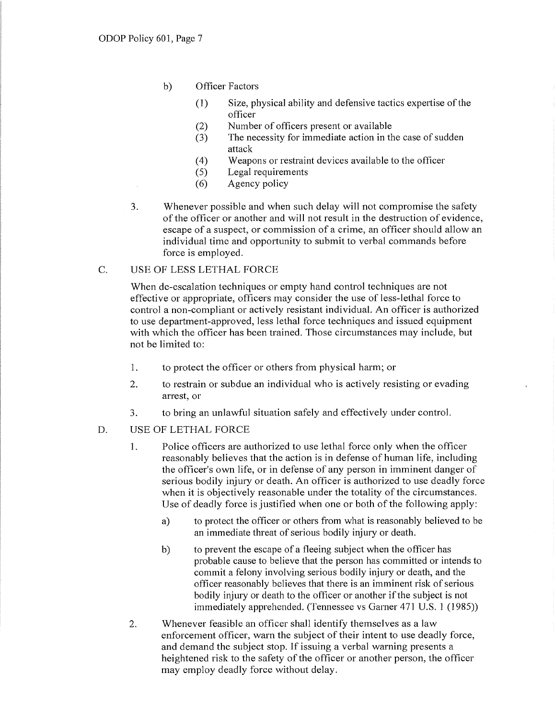- b) Officer Factors
	- (I) Size, physical ability and defensive tactics expetiise of the officer
	- (2) Number of officers present or available
	- (3) The necessity for immediate action in the case of sudden attack
	- (4) Weapons or restraint devices available to the officer
	- (5) Legal requirements
	- (6) Agency policy
- 3. Whenever possible and when such delay will not compromise the safety of the officer or another and will not result in the destruction of evidence, escape of a suspect, or commission of a crime, an officer should allow an individual time and opportunity to submit to verbal commands before force is employed.

## C. USE OF LESS LETHAL FORCE

When de-escalation techniques or empty hand control techniques are not effective or appropriate, officers may consider the use of less-lethal force to control a non-compliant or actively resistant individual. An officer is authorized to use department-approved, less lethal force techniques and issued equipment with which the officer has been trained. Those circumstances may include, but not be limited to:

- I. to protect the officer or others from physical harm; or
- 2. to restrain or subdue an individual who is actively resisting or evading arrest, or
- 3. to bring an unlawful situation safely and effectively under control.
- D. USE OF LETHAL FORCE
	- 1. Police officers are authorized to use lethal force only when the officer reasonably believes that the action is in defense of human life, including the officer's own life, or in defense of any person in imminent danger of serious bodily injury or death. An officer is authorized to use deadly force when it is objectively reasonable under the totality of the circumstances. Use of deadly force is justified when one or both of the following apply:
		- a) to protect the officer or others from what is reasonably believed to be an immediate threat of serious bodily injury or death.
		- b) to prevent the escape of a fleeing subject when the officer has probable cause to believe that the person has committed or intends to commit a felony involving serious bodily injury or death, and the officer reasonably believes that there is an imminent risk of serious bodily injury or death to the officer or another if the subject is not immediately apprehended. (Tennessee vs Garner 471 U.S. 1 (1985))
	- 2. Whenever feasible an officer shall identify themselves as a law enforcement officer, warn the subject of their intent to use deadly force, and demand the subject stop. If issuing a verbal warning presents a heightened risk to the safety of the officer or another person, the officer may employ deadly force without delay.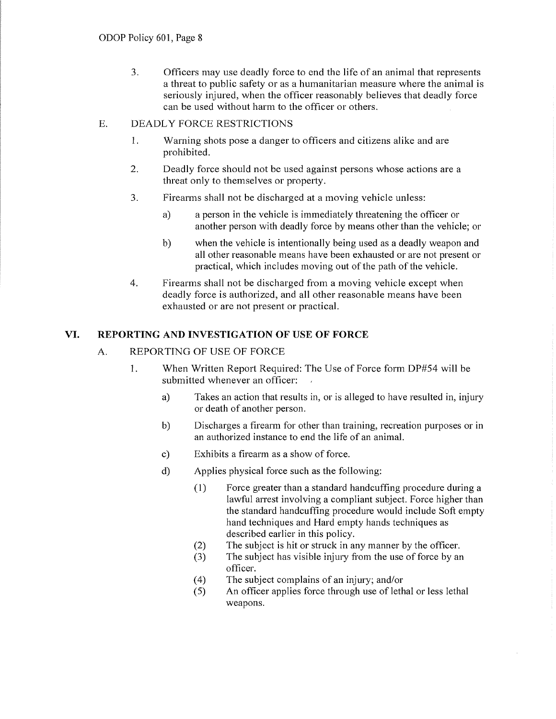3. Officers may use deadly force to end the life of an animal that represents a threat to public safety or as a humanitarian measure where the animal is seriously injured, when the officer reasonably believes that deadly force can be used without harm to the officer or others.

# E. DEADLY FORCE RESTRICTIONS

- 1. Warning shots pose a danger to officers and citizens alike and are prohibited.
- 2. Deadly force should not be used against persons whose actions are a threat only to themselves or property.
- 3. Firearms shall not be discharged at a moving vehicle unless:
	- a) a person in the vehicle is immediately threatening the officer or another person with deadly force by means other than the vehicle; or
	- b) when the vehicle is intentionally being used as a deadly weapon and all other reasonable means have been exhausted or are not present or practical, which includes moving out of the path of the vehicle.
- 4. Firearms shall not be discharged from a moving vehicle except when deadly force is authorized, and all other reasonable means have been exhausted or are not present or practical.

# **VI. REPORTING AND INVESTIGATION OF USE OF FORCE**

# A. REPORTING OF USE OF FORCE

- 1. When Written Report Required: The Use of Force form DP#54 will be submitted whenever an officer:
	- a) Takes an action that results in, or is alleged to have resulted in, injury or death of another person.
	- b) Discharges a firearm for other than training, recreation purposes or in an authorized instance to end the life of an animal.
	- c) Exhibits a firearm as a show of force.
	- d) Applies physical force such as the following:
		- (1) Force greater than a standard handcuffing procedure during a lawful arrest involving a compliant subject. Force higher than the standard handcuffing procedure would include Soft empty hand techniques and Hard empty hands techniques as described earlier in this policy.
		- (2) The subject is hit or struck in any manner by the officer.
		- (3) The subject has visible injury from the use of force by an officer.
		- ( 4) The subject complains of an injury; and/or
		- ( 5) An officer applies force through use of lethal or less lethal weapons.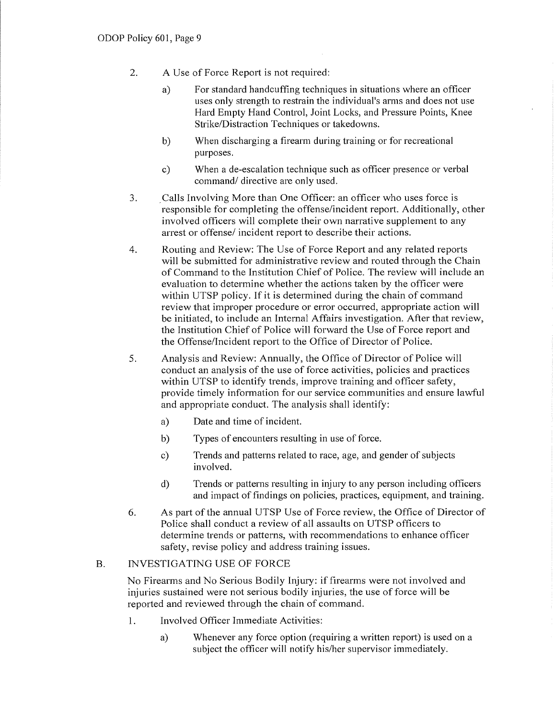- 2. A Use of Force Report is not required:
	- a) For standard handcuffing techniques in situations where an officer uses only strength to restrain the individual's arms and does not use Hard Empty Hand Control, Joint Locks, and Pressure Points, Knee Strike/Distraction Techniques or takedowns.
	- b) When discharging a firearm during training or for recreational purposes.
	- c) When a de-escalation technique such as officer presence or verbal command/ directive are only used.
- 3. \_ Calls Involving More than One Officer: an officer who uses force is responsible for completing the offense/incident report. Additionally, other involved officers will complete their own narrative supplement to any arrest or offense/ incident report to describe their actions.
- 4. Routing and Review: The Use of Force Report and any related reports will be submitted for administrative review and routed through the Chain of Command to the Institution Chief of Police. The review will include an evaluation to determine whether the actions taken by the officer were within UTSP policy. If it is determined during the chain of command review that improper procedure or error occurred, appropriate action will be initiated, to include an Internal Affairs investigation. After that review, the Institution Chief of Police will forward the Use of Force report and the Offense/Incident report to the Office of Director of Police.
- 5. Analysis and Review: Annually, the Office of Director of Police will conduct an analysis of the use of force activities, policies and practices within UTSP to identify trends, improve training and officer safety, provide timely information for our service communities and ensure lawful and appropriate conduct. The analysis shall identify:
	- a) Date and time of incident.
	- b) Types of encounters resulting in use of force.
	- c) Trends and patterns related to race, age, and gender of subjects involved.
	- d) Trends or patterns resulting in injury to any person including officers and impact of findings on policies, practices, equipment, and training.
- 6. As part of the annual UTSP Use of Force review, the Office of Director of Police shall conduct a review of all assaults on UTSP officers to determine trends or patterns, with recommendations to enhance officer safety, revise policy and address training issues.

## B. INVESTIGATING USE OF FORCE

No Firearms and No Serious Bodily Injury: if firearms were not involved and injuries sustained were not serious bodily injuries, the use of force will be reported and reviewed through the chain of command.

- 1. Involved Officer Immediate Activities:
	- a) Whenever any force option (requiring a written report) is used on a subject the officer will notify his/her supervisor immediately.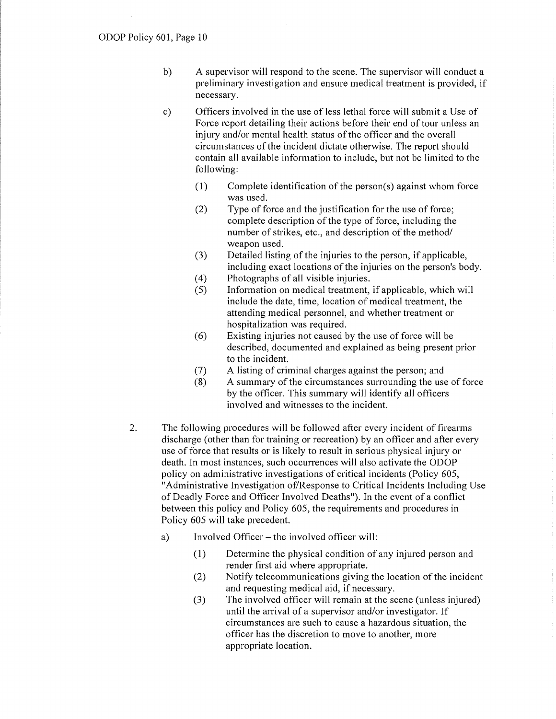- b) A supervisor will respond to the scene. The supervisor will conduct a preliminary investigation and ensure medical treatment is provided, if necessary.
- c) Officers involved in the use of less lethal force will submit a Use of Force report detailing their actions before their end of tour unless an injury and/or mental health status of the officer and the overall circumstances of the incident dictate otherwise. The report should contain all available information to include, but not be limited to the following:
	- (1) Complete identification of the person(s) against whom force was used.
	- (2) Type of force and the justification for the use of force; complete description of the type of force, including the number of strikes, etc., and description of the method/ weapon used.
	- (3) Detailed listing of the injuries to the person, if applicable, including exact locations of the injuries on the person's body.
	- ( 4) Photographs of all visible injuries.
	- (5) Information on medical treatment, if applicable, which will include the date, time, location of medical treatment, the attending medical personnel, and whether treatment or hospitalization was required.
	- (6) Existing injuries not caused by the use of force will be described, documented and explained as being present prior to the incident.
	- (7) A listing of criminal charges against the person; and
	- (8) A summary of the circumstances surrounding the use of force by the officer. This summary will identify all officers involved and witnesses to the incident.
- 2. The following procedures will be followed after every incident of firearms discharge (other than for training or recreation) by an officer and after every use of force that results or is likely to result in serious physical injury or death. In most instances, such occurrences will also activate the ODOP policy on administrative investigations of critical incidents (Policy 605, "Administrative Investigation of/Response to Critical Incidents Including Use of Deadly Force and Officer Involved Deaths"). In the event of a conflict between this policy and Policy 605, the requirements and procedures in Policy 605 will take precedent.
	- a) Involved Officer the involved officer will:
		- (1) Determine the physical condition of any injured person and render first aid where appropriate.
		- (2) Notify telecommunications giving the location of the incident and requesting medical aid, if necessary.
		- (3) The involved officer will remain at the scene (unless injured) until the arrival of a supervisor and/or investigator. If circumstances are such to cause a hazardous situation, the officer has the discretion to move to another, more appropriate location.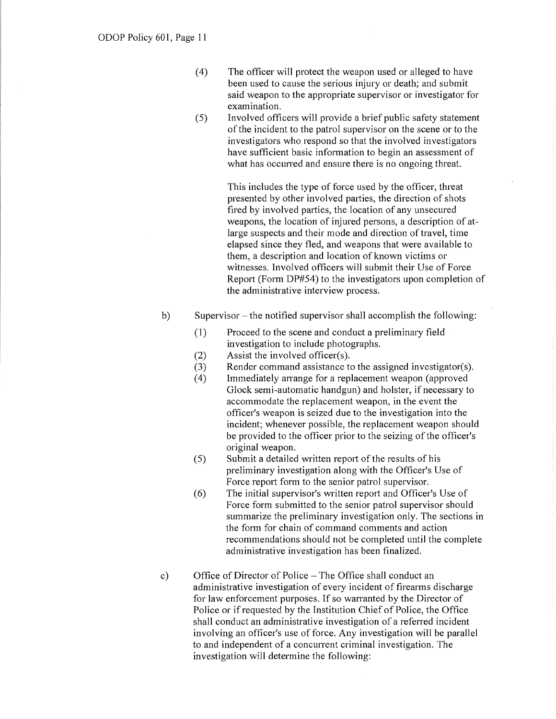- ( 4) The officer will protect the weapon used or alleged to have been used to cause the serious injury or death; and submit said weapon to the appropriate supervisor or investigator for examination.
- (5) Involved officers will provide a brief public safety statement of the incident to the patrol supervisor on the scene or to the investigators who respond so that the involved investigators have sufficient basic information to begin an assessment of what has occurred and ensure there is no ongoing threat.

This includes the type of force used by the officer, threat presented by other involved parties, the direction of shots fired by involved parties, the location of any unsecured weapons, the location of injured persons, a description of atlarge suspects and their mode and direction of travel, time elapsed since they fled, and weapons that were available to them, a description and location of known victims or witnesses. Involved officers will submit their Use of Force Report (Form DP#54) to the investigators upon completion of the administrative interview process.

- b) Supervisor the notified supervisor shall accomplish the following:
	- (1) Proceed to the scene and conduct a preliminary field investigation to include photographs.
	- (2) Assist the involved officer(s).
	- (3) Render command assistance to the assigned investigator(s).
	- (4) Immediately arrange for a replacement weapon (approved Glock semi-automatic handgun) and holster, if necessary to accommodate the replacement weapon, in the event the officer's weapon is seized due to the investigation into the incident; whenever possible, the replacement weapon should be provided to the officer prior to the seizing of the officer's original weapon.
	- (5) Submit a detailed written report of the results of his preliminary investigation along with the Officer's Use of Force report form to the senior patrol supervisor.
	- (6) The initial supervisor's written report and Officer's Use of Force form submitted to the senior patrol supervisor should summarize the preliminary investigation only. The sections in the form for chain of command comments and action recommendations should not be completed until the complete administrative investigation has been finalized.
- c) Office of Director of Police -The Office shall conduct an administrative investigation of every incident of firearms discharge for law enforcement purposes. If so warranted by the Director of Police or if requested by the Institution Chief of Police, the Office shall conduct an administrative investigation of a referred incident involving an officer's use of force. Any investigation will be parallel to and independent of a concurrent criminal investigation. The investigation will determine the following: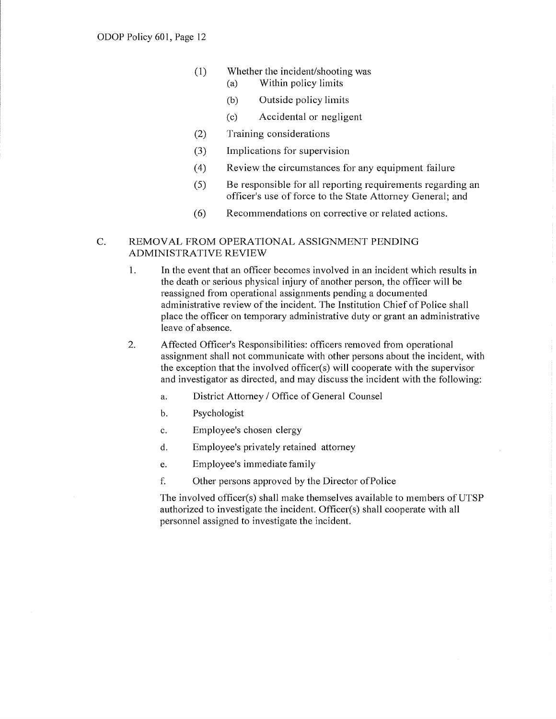- (I) Whether the incident/shooting was
	- (a) Within policy limits
	- (b) Outside policy limits
	- (c) Accidental or negligent
- (2) Training considerations
- (3) Implications for supervision
- ( 4) Review the circumstances for any equipment failure
- (5) Be responsible for all reporting requirements regarding an officer's use of force to the State Attorney General; and
- (6) Recommendations on corrective or related actions.

## C. REMOVAL FROM OPERATIONAL ASSIGNMENT PENDING ADMINISTRATIVE REVIEW

- 1. In the event that an officer becomes involved in an incident which results in the death or serious physical injury of another person, the officer will be reassigned from operational assignments pending a documented administrative review of the incident. The Institution Chief of Police shall place the officer on temporary administrative duty or grant an administrative leave of absence.
- 2. Affected Officer's Responsibilities: officers removed from operational assignment shall not communicate with other persons about the incident, with the exception that the involved officer(s) will cooperate with the supervisor and investigator as directed, and may discuss the incident with the following:
	- a. District Attorney / Office of General Counsel
	- b. Psychologist
	- c. Employee's chosen clergy
	- d. Employee's privately retained attorney
	- e. Employee's immediate family
	- f. Other persons approved by the Director of Police

The involved officer(s) shall make themselves available to members of UTSP authorized to investigate the incident. Officer(s) shall cooperate with all personnel assigned to investigate the incident.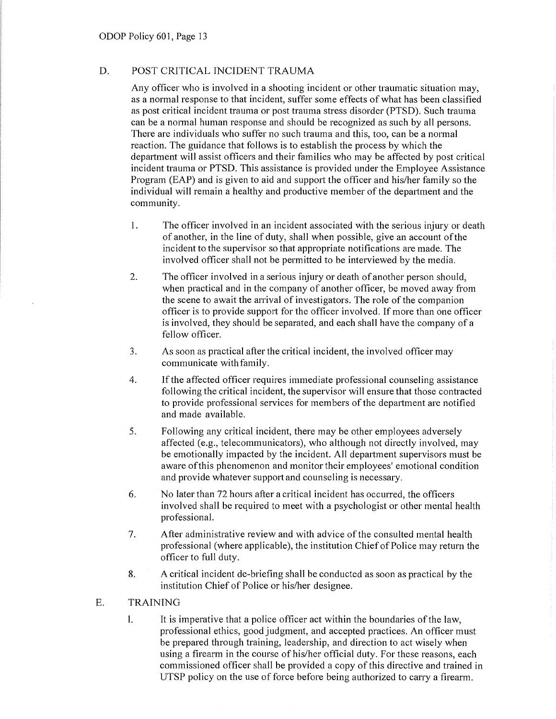# D. POST CRITICAL INCIDENT TRAUMA

Any officer who is involved in a shooting incident or other traumatic situation may, as a normal response to that incident, suffer some effects of what has been classified as post critical incident trauma or post trauma stress disorder (PTSD). Such trauma can be a normal human response and should be recognized as such by all persons. There are individuals who suffer no such trauma and this, too, can be a normal reaction. The guidance that follows is to establish the process by which the department will assist officers and their families who may be affected by post critical incident trauma or PTSD. This assistance is provided under the Employee Assistance Program (EAP) and is given to aid and support the officer and his/her family so the individual will remain a healthy and productive member of the department and the community.

- I. The officer involved in an incident associated with the serious injury or death of another, in the line of duty, shall when possible, give an account of the incident to the supervisor so that appropriate notifications are made. The involved officer shall not be permitted to be interviewed by the media.
- 2. The officer involved in a serious injury or death of another person should, when practical and in the company of another officer, be moved away from the scene to await the arrival of investigators. The role of the companion officer is to provide suppoti for the officer involved. If more than one officer is involved, they should be separated, and each shall have the company of a fellow officer.
- 3. As soon as practical after the critical incident, the involved officer may communicate with family.
- 4. If the affected officer requires immediate professional counseling assistance following the critical incident, the supervisor will ensure that those contracted to provide professional services for members of the depatiment are notified and made available.
- 5. Following any critical incident, there may be other employees adversely affected (e.g., telecommunicators), who although not directly involved, may be emotionally impacted by the incident. All department supervisors must be aware of this phenomenon and monitor their employees' emotional condition and provide whatever support and counseling is necessary.
- 6. No later than 72 hours after a critical incident has occurred, the officers involved shall be required to meet with a psychologist or other mental health professional.
- 7. After administrative review and with advice of the consulted mental health professional (where applicable), the institution Chief of Police may return the officer to full duty.
- 8. A critical incident de-briefing shall be conducted as soon as practical by the institution Chief of Police or his/her designee.
- E. TRAINING
	- 1. It is imperative that a police officer act within the boundaries of the law, professional ethics, good judgment, and accepted practices. An officer must be prepared through training, leadership, and direction to act wisely when using a firearm in the course of his/her official duty. For these reasons, each commissioned officer shall be provided a copy of this directive and trained in UTSP policy on the use of force before being authorized to carry a firearm.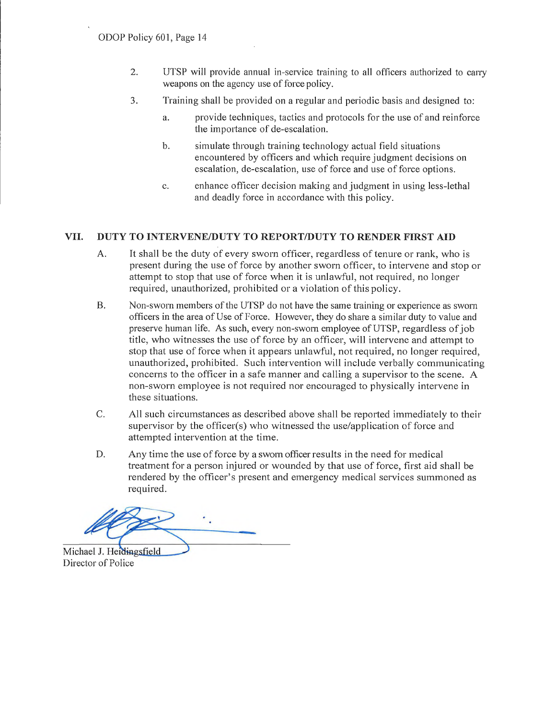- 2. UTSP will provide annual in-service training to all officers authorized to cany weapons on the agency use of force policy.
- 3. Training shall be provided on a regular and periodic basis and designed to:
	- a. provide techniques, tactics and protocols for the use of and reinforce the importance of de-escalation.
	- b. simulate through training technology actual field situations encountered by officers and which require judgment decisions on escalation, de-escalation, use of force and use of force options.
	- c. enhance officer decision making and judgment in using less-lethal and deadly force in accordance with this policy.

# **VII. DUTY TO INTERVENE/DUTY TO REPORT/DUTY TO RENDER FIRST AID**

- A. It shall be the duty of every sworn officer, regardless of tenure or rank, who is present during the use of force by another sworn officer, to intervene and stop or attempt to stop that use of force when it is unlawful, not required, no longer required, unauthorized, prohibited or a violation of this policy.
- B. Non-sworn members of the UTSP do not have the same training or experience as sworn officers in the area of Use of Force. However, they do share a similar duty to value and preserve human life. As such, every non-sworn employee of UTSP, regardless of job title, who witnesses the use of force by an officer, will intervene and attempt to stop that use of force when it appears unlawful, not required, no longer required, unauthorized, prohibited. Such intervention will include verbally communicating concerns to the officer in a safe manner and calling a supervisor to the scene. A non-sworn employee is not required nor encouraged to physically intervene in these situations.
- C. All such circumstances as described above shall be reported immediately to their supervisor by the officer(s) who witnessed the use/application of force and attempted intervention at the time.
- D. Any time the use of force by a sworn officer results in the need for medical treatment for a person injured or wounded by that use of force, first aid shall be rendered by the officer's present and emergency medical services summoned as required.

**Mich~ 'S-------**

Director of Police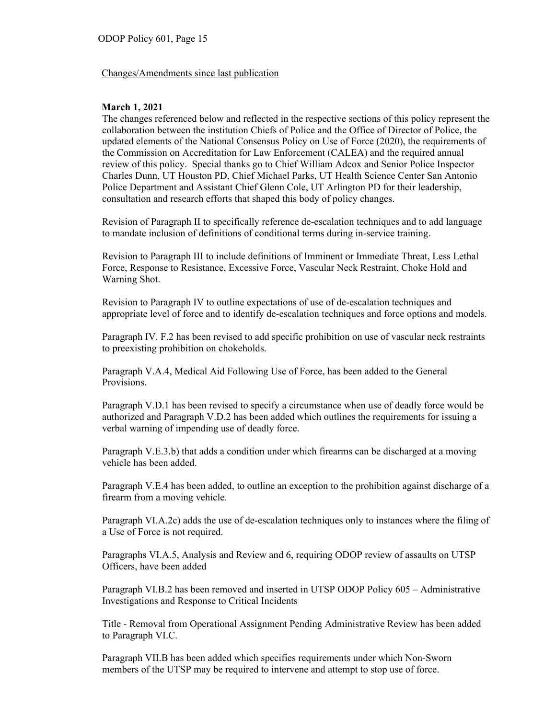#### Changes/Amendments since last publication

#### **March 1, 2021**

The changes referenced below and reflected in the respective sections of this policy represent the collaboration between the institution Chiefs of Police and the Office of Director of Police, the updated elements of the National Consensus Policy on Use of Force (2020), the requirements of the Commission on Accreditation for Law Enforcement (CALEA) and the required annual review of this policy. Special thanks go to Chief William Adcox and Senior Police Inspector Charles Dunn, UT Houston PD, Chief Michael Parks, UT Health Science Center San Antonio Police Department and Assistant Chief Glenn Cole, UT Arlington PD for their leadership, consultation and research efforts that shaped this body of policy changes.

Revision of Paragraph II to specifically reference de-escalation techniques and to add language to mandate inclusion of definitions of conditional terms during in-service training.

Revision to Paragraph III to include definitions of Imminent or Immediate Threat, Less Lethal Force, Response to Resistance, Excessive Force, Vascular Neck Restraint, Choke Hold and Warning Shot.

Revision to Paragraph IV to outline expectations of use of de-escalation techniques and appropriate level of force and to identify de-escalation techniques and force options and models.

Paragraph IV. F.2 has been revised to add specific prohibition on use of vascular neck restraints to preexisting prohibition on chokeholds.

Paragraph V.A.4, Medical Aid Following Use of Force, has been added to the General Provisions.

Paragraph V.D.1 has been revised to specify a circumstance when use of deadly force would be authorized and Paragraph V.D.2 has been added which outlines the requirements for issuing a verbal warning of impending use of deadly force.

Paragraph V.E.3.b) that adds a condition under which firearms can be discharged at a moving vehicle has been added.

Paragraph V.E.4 has been added, to outline an exception to the prohibition against discharge of a firearm from a moving vehicle.

Paragraph VI.A.2c) adds the use of de-escalation techniques only to instances where the filing of a Use of Force is not required.

Paragraphs VI.A.5, Analysis and Review and 6, requiring ODOP review of assaults on UTSP Officers, have been added

Paragraph VI.B.2 has been removed and inserted in UTSP ODOP Policy 605 – Administrative Investigations and Response to Critical Incidents

Title - Removal from Operational Assignment Pending Administrative Review has been added to Paragraph VI.C.

Paragraph VII.B has been added which specifies requirements under which Non-Sworn members of the UTSP may be required to intervene and attempt to stop use of force.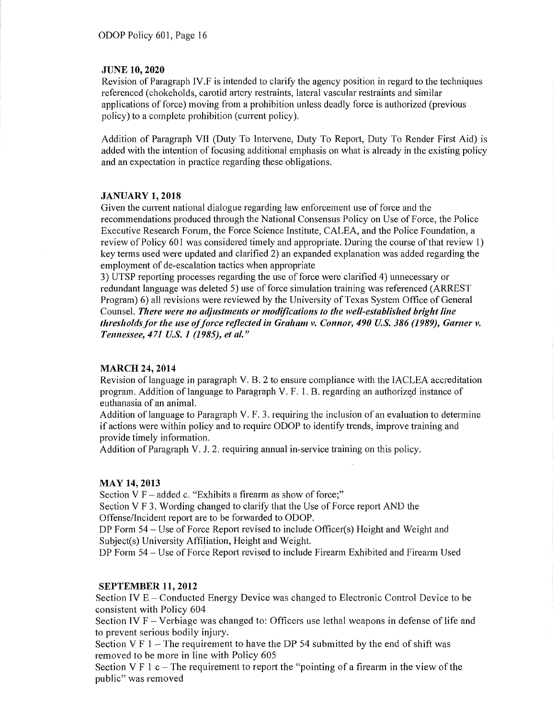#### **JUNE 10, 2020**

Revision of Paragraph IV.F is intended to clarify the agency position in regard to the techniques referenced ( chokeholds, carotid miery restraints, lateral vascular restraints and similar applications of force) moving from a prohibition unless deadly force is authorized (previous policy) to a complete prohibition (current policy).

Addition of Paragraph VII (Duty To Intervene, Duty To Repoti, Duty To Render First Aid) is added with the intention of focusing additional emphasis on what is already in the existing policy and an expectation in practice regarding these obligations.

#### **JANUARY 1, 2018**

Given the current national dialogue regarding law enforcement use of force and the recommendations produced through the National Consensus Policy on Use of Force, the Police Executive Research Forum, the Force Science Institute, CALEA, and the Police Foundation, a review of Policy 601 was considered timely and appropriate. During the course of that review 1) key terms used were updated and clarified 2) an expanded explanation was added regarding the employment of de-escalation tactics when appropriate

3) UTSP repotiing processes regarding the use of force were clarified 4) unnecessary or redundant language was deleted 5) use of force simulation training was referenced (ARREST Program) 6) all revisions were reviewed by the University of Texas System Office of General Counsel. There were no adjustments or modifications to the well-established bright line *thresholds for the use of force reflected in Graham v. Connor, 490 U.S. 386 (1989), Garner v. Tennessee, 471 U.S. 1 (1985), et al."* 

## **MARCH 24, 2014**

Revision of language in paragraph V. B. 2 to ensure compliance with the IACLEA accreditation program. Addition of language to Paragraph V. F. 1. B. regarding an authorized instance of euthanasia of an animal.

Addition of language to Paragraph V. F. 3. requiring the inclusion of an evaluation to determine if actions were within policy and to require ODOP to identify trends, improve training and provide timely information.

Addition of Paragraph V. J. 2. requiring annual in-service training on this policy.

## **MAY 14,2013**

Section V  $F$  – added c. "Exhibits a firearm as show of force;" Section V F 3. Wording changed to clarify that the Use of Force report AND the Offense/Incident repoti are to be forwarded to ODOP.

DP Form 54 – Use of Force Report revised to include Officer(s) Height and Weight and Subject(s) University Affiliation, Height and Weight.

DP Form 54 - Use of Force Report revised to include Firearm Exhibited and Firearm Used

## **SEPTEMBER 11, 2012**

Section IV E – Conducted Energy Device was changed to Electronic Control Device to be consistent with Policy 604

Section IV  $F -$  Verbiage was changed to: Officers use lethal weapons in defense of life and to prevent serious bodily injury.

Section V F  $1$  – The requirement to have the DP 54 submitted by the end of shift was removed to be more in line with Policy 605

Section V F 1 c – The requirement to report the "pointing of a firearm in the view of the public" was removed